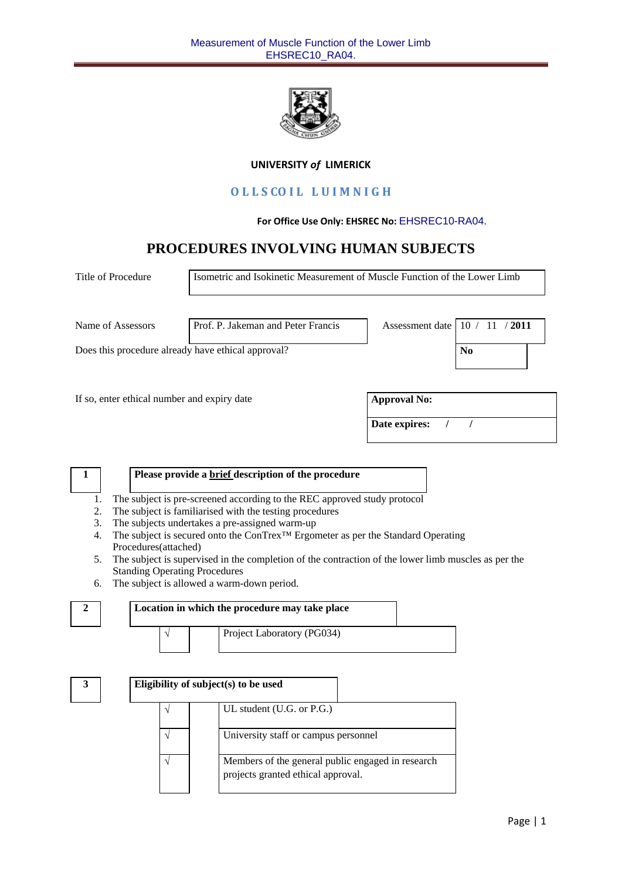

#### **UNIVERSITY** *of* **LIMERICK**

## **O L L S CO I L L U I M N I G H**

#### **For Office Use Only: EHSREC No:** EHSREC10-RA04.

# **PROCEDURES INVOLVING HUMAN SUBJECTS**

| Title of Procedure                                 | Isometric and Isokinetic Measurement of Muscle Function of the Lower Limb |                     |                         |  |  |
|----------------------------------------------------|---------------------------------------------------------------------------|---------------------|-------------------------|--|--|
| Name of Assessors                                  | Prof. P. Jakeman and Peter Francis                                        | Assessment date     | 2011<br>10 <sub>1</sub> |  |  |
| Does this procedure already have ethical approval? |                                                                           |                     | N <sub>0</sub>          |  |  |
| If so, enter ethical number and expiry date        |                                                                           | <b>Approval No:</b> |                         |  |  |
|                                                    |                                                                           | Date expires:       |                         |  |  |
| 1                                                  | Please provide a brief description of the procedure                       |                     |                         |  |  |
|                                                    | The subject is pre-screened according to the REC approved study protocol  |                     |                         |  |  |

- 2. The subject is familiarised with the testing procedures
- 3. The subjects undertakes a pre-assigned warm-up
- 4. The subject is secured onto the ConTrex™ Ergometer as per the Standard Operating Procedures(attached)
- 5. The subject is supervised in the completion of the contraction of the lower limb muscles as per the Standing Operating Procedures
- 6. The subject is allowed a warm-down period.



| Location in which the procedure may take place |  |  |                            |  |  |
|------------------------------------------------|--|--|----------------------------|--|--|
|                                                |  |  | Project Laboratory (PG034) |  |  |

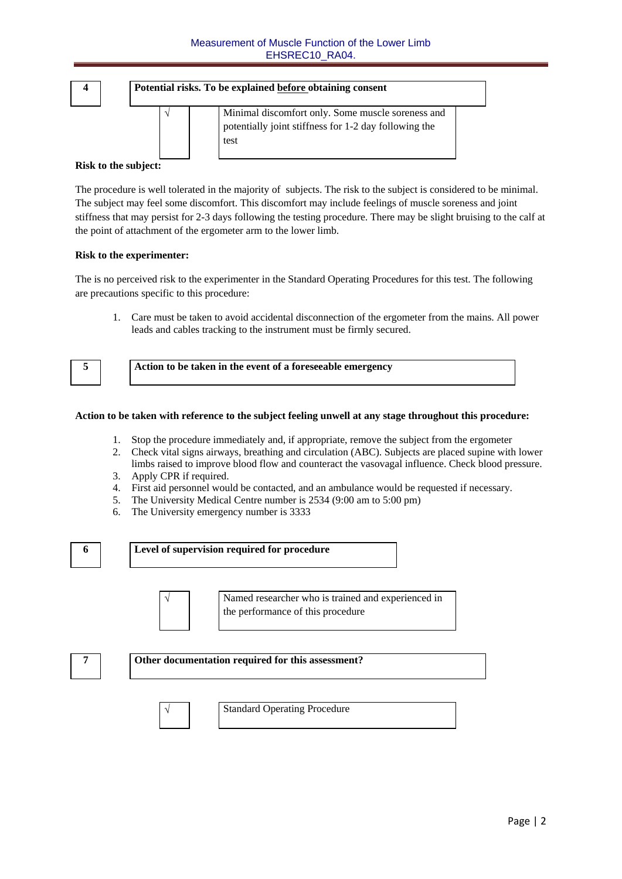

#### **Risk to the subject:**

The procedure is well tolerated in the majority of subjects. The risk to the subject is considered to be minimal. The subject may feel some discomfort. This discomfort may include feelings of muscle soreness and joint stiffness that may persist for 2-3 days following the testing procedure. There may be slight bruising to the calf at the point of attachment of the ergometer arm to the lower limb.

#### **Risk to the experimenter:**

The is no perceived risk to the experimenter in the Standard Operating Procedures for this test. The following are precautions specific to this procedure:

1. Care must be taken to avoid accidental disconnection of the ergometer from the mains. All power leads and cables tracking to the instrument must be firmly secured.



**5 Action to be taken in the event of a foreseeable emergency**

#### **Action to be taken with reference to the subject feeling unwell at any stage throughout this procedure:**

- 1. Stop the procedure immediately and, if appropriate, remove the subject from the ergometer
- 2. Check vital signs airways, breathing and circulation (ABC). Subjects are placed supine with lower limbs raised to improve blood flow and counteract the vasovagal influence. Check blood pressure.
- 3. Apply CPR if required.
- 4. First aid personnel would be contacted, and an ambulance would be requested if necessary.
- 5. The University Medical Centre number is 2534 (9:00 am to 5:00 pm)
- 6. The University emergency number is 3333



 Named researcher who is trained and experienced in the performance of this procedure

| - | Other documentation required for this assessment? |
|---|---------------------------------------------------|
|   |                                                   |



Standard Operating Procedure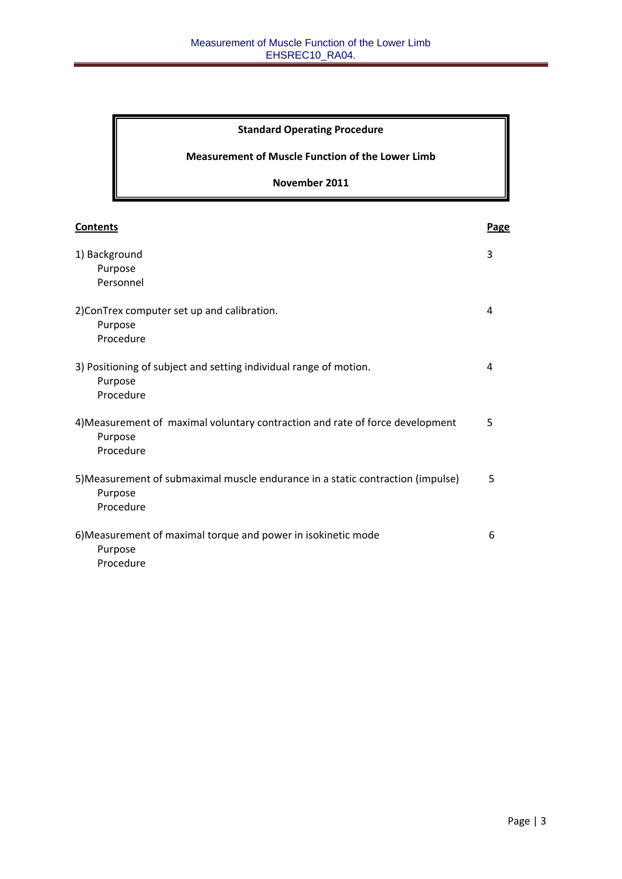## **Standard Operating Procedure**

## **Measurement of Muscle Function of the Lower Limb**

## **November 2011**

| <b>Contents</b>                                                                                         | Page |
|---------------------------------------------------------------------------------------------------------|------|
| 1) Background<br>Purpose<br>Personnel                                                                   | 3    |
| 2) ConTrex computer set up and calibration.<br>Purpose<br>Procedure                                     | 4    |
| 3) Positioning of subject and setting individual range of motion.<br>Purpose<br>Procedure               | 4    |
| 4) Measurement of maximal voluntary contraction and rate of force development<br>Purpose<br>Procedure   | 5    |
| 5) Measurement of submaximal muscle endurance in a static contraction (impulse)<br>Purpose<br>Procedure | 5    |
| 6) Measurement of maximal torque and power in isokinetic mode<br>Purpose<br>Procedure                   | 6    |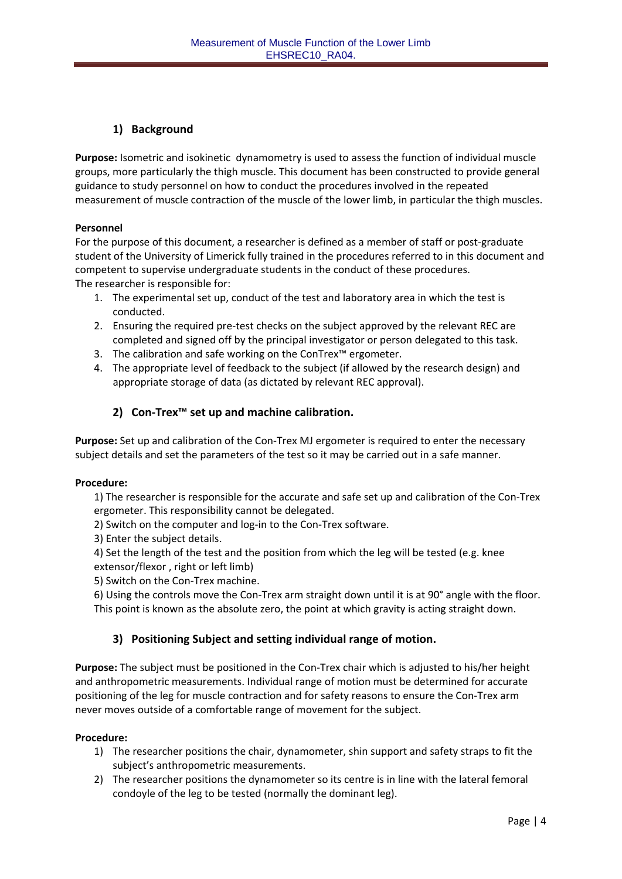## **1) Background**

**Purpose:** Isometric and isokinetic dynamometry is used to assess the function of individual muscle groups, more particularly the thigh muscle. This document has been constructed to provide general guidance to study personnel on how to conduct the procedures involved in the repeated measurement of muscle contraction of the muscle of the lower limb, in particular the thigh muscles.

#### **Personnel**

For the purpose of this document, a researcher is defined as a member of staff or post-graduate student of the University of Limerick fully trained in the procedures referred to in this document and competent to supervise undergraduate students in the conduct of these procedures. The researcher is responsible for:

- 1. The experimental set up, conduct of the test and laboratory area in which the test is conducted.
- 2. Ensuring the required pre-test checks on the subject approved by the relevant REC are completed and signed off by the principal investigator or person delegated to this task.
- 3. The calibration and safe working on the ConTrex™ ergometer.
- 4. The appropriate level of feedback to the subject (if allowed by the research design) and appropriate storage of data (as dictated by relevant REC approval).

## **2) Con‐Trex™ set up and machine calibration.**

**Purpose:** Set up and calibration of the Con‐Trex MJ ergometer is required to enter the necessary subject details and set the parameters of the test so it may be carried out in a safe manner.

#### **Procedure:**

1) The researcher is responsible for the accurate and safe set up and calibration of the Con‐Trex ergometer. This responsibility cannot be delegated.

- 2) Switch on the computer and log-in to the Con-Trex software.
- 3) Enter the subject details.
- 4) Set the length of the test and the position from which the leg will be tested (e.g. knee extensor/flexor , right or left limb)
- 5) Switch on the Con-Trex machine.

6) Using the controls move the Con‐Trex arm straight down until it is at 90° angle with the floor. This point is known as the absolute zero, the point at which gravity is acting straight down.

### **3) Positioning Subject and setting individual range of motion.**

**Purpose:** The subject must be positioned in the Con‐Trex chair which is adjusted to his/her height and anthropometric measurements. Individual range of motion must be determined for accurate positioning of the leg for muscle contraction and for safety reasons to ensure the Con‐Trex arm never moves outside of a comfortable range of movement for the subject.

#### **Procedure:**

- 1) The researcher positions the chair, dynamometer, shin support and safety straps to fit the subject's anthropometric measurements.
- 2) The researcher positions the dynamometer so its centre is in line with the lateral femoral condoyle of the leg to be tested (normally the dominant leg).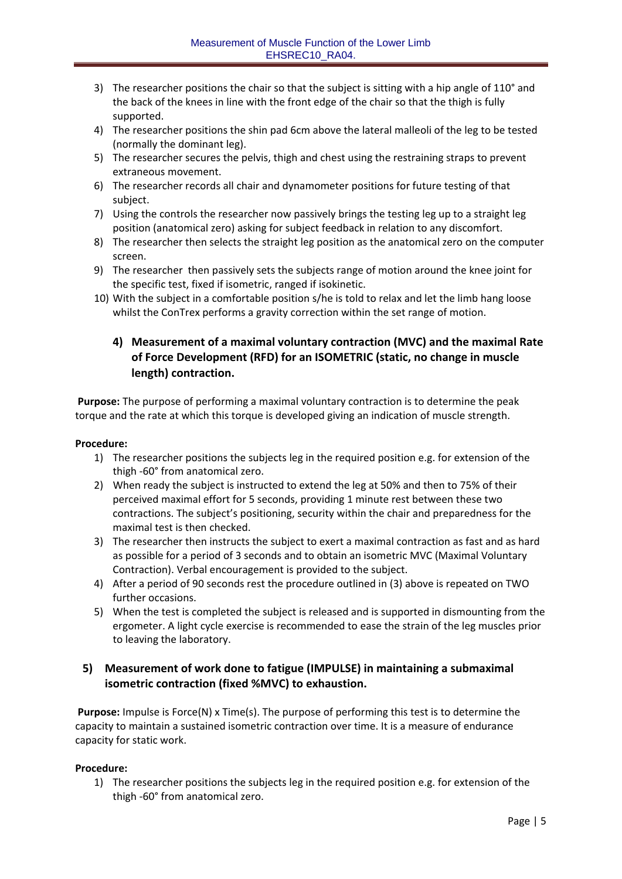- 3) The researcher positions the chair so that the subject is sitting with a hip angle of 110° and the back of the knees in line with the front edge of the chair so that the thigh is fully supported.
- 4) The researcher positions the shin pad 6cm above the lateral malleoli of the leg to be tested (normally the dominant leg).
- 5) The researcher secures the pelvis, thigh and chest using the restraining straps to prevent extraneous movement.
- 6) The researcher records all chair and dynamometer positions for future testing of that subject.
- 7) Using the controls the researcher now passively brings the testing leg up to a straight leg position (anatomical zero) asking for subject feedback in relation to any discomfort.
- 8) The researcher then selects the straight leg position as the anatomical zero on the computer screen.
- 9) The researcher then passively sets the subjects range of motion around the knee joint for the specific test, fixed if isometric, ranged if isokinetic.
- 10) With the subject in a comfortable position s/he is told to relax and let the limb hang loose whilst the ConTrex performs a gravity correction within the set range of motion.

## **4) Measurement of a maximal voluntary contraction (MVC) and the maximal Rate of Force Development (RFD) for an ISOMETRIC (static, no change in muscle length) contraction.**

**Purpose:** The purpose of performing a maximal voluntary contraction is to determine the peak torque and the rate at which this torque is developed giving an indication of muscle strength.

#### **Procedure:**

- 1) The researcher positions the subjects leg in the required position e.g. for extension of the thigh ‐60° from anatomical zero.
- 2) When ready the subject is instructed to extend the leg at 50% and then to 75% of their perceived maximal effort for 5 seconds, providing 1 minute rest between these two contractions. The subject's positioning, security within the chair and preparedness for the maximal test is then checked.
- 3) The researcher then instructs the subject to exert a maximal contraction as fast and as hard as possible for a period of 3 seconds and to obtain an isometric MVC (Maximal Voluntary Contraction). Verbal encouragement is provided to the subject.
- 4) After a period of 90 seconds rest the procedure outlined in (3) above is repeated on TWO further occasions.
- 5) When the test is completed the subject is released and is supported in dismounting from the ergometer. A light cycle exercise is recommended to ease the strain of the leg muscles prior to leaving the laboratory.

## **5) Measurement of work done to fatigue (IMPULSE) in maintaining a submaximal isometric contraction (fixed %MVC) to exhaustion.**

**Purpose:** Impulse is Force(N) x Time(s). The purpose of performing this test is to determine the capacity to maintain a sustained isometric contraction over time. It is a measure of endurance capacity for static work.

### **Procedure:**

1) The researcher positions the subjects leg in the required position e.g. for extension of the thigh ‐60° from anatomical zero.